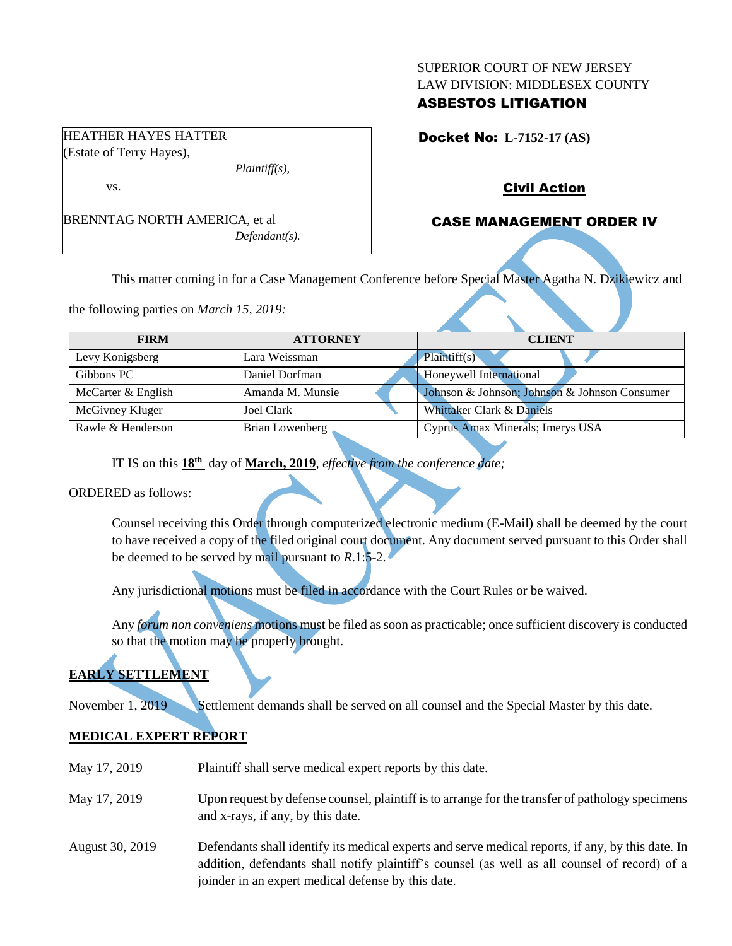### SUPERIOR COURT OF NEW JERSEY LAW DIVISION: MIDDLESEX COUNTY

## ASBESTOS LITIGATION

Docket No: **L-7152-17 (AS)** 

## Civil Action

## CASE MANAGEMENT ORDER IV

BRENNTAG NORTH AMERICA, et al *Defendant(s).*

*Plaintiff(s),*

This matter coming in for a Case Management Conference before Special Master Agatha N. Dzikiewicz and

the following parties on *March 15, 2019:*

HEATHER HAYES HATTER (Estate of Terry Hayes),

vs.

| <b>FIRM</b>        | <b>ATTORNEY</b>  | <b>CLIENT</b>                                 |
|--------------------|------------------|-----------------------------------------------|
| Levy Konigsberg    | Lara Weissman    | Plaintiff(s)                                  |
| Gibbons PC         | Daniel Dorfman   | Honeywell International                       |
| McCarter & English | Amanda M. Munsie | Johnson & Johnson; Johnson & Johnson Consumer |
| McGivney Kluger    | Joel Clark       | Whittaker Clark & Daniels                     |
| Rawle & Henderson  | Brian Lowenberg  | Cyprus Amax Minerals; Imerys USA              |

IT IS on this **18th** day of **March, 2019**, *effective from the conference date;*

ORDERED as follows:

Counsel receiving this Order through computerized electronic medium (E-Mail) shall be deemed by the court to have received a copy of the filed original court document. Any document served pursuant to this Order shall be deemed to be served by mail pursuant to *R*.1:5-2.

Any jurisdictional motions must be filed in accordance with the Court Rules or be waived.

Any *forum non conveniens* motions must be filed as soon as practicable; once sufficient discovery is conducted so that the motion may be properly brought.

# **EARLY SETTLEMENT**

November 1, 2019 Settlement demands shall be served on all counsel and the Special Master by this date.

## **MEDICAL EXPERT REPORT**

| May 17, 2019    | Plaintiff shall serve medical expert reports by this date.                                                                                                                                                                                               |  |
|-----------------|----------------------------------------------------------------------------------------------------------------------------------------------------------------------------------------------------------------------------------------------------------|--|
| May 17, 2019    | Upon request by defense counsel, plaintiff is to arrange for the transfer of pathology specimens<br>and x-rays, if any, by this date.                                                                                                                    |  |
| August 30, 2019 | Defendants shall identify its medical experts and serve medical reports, if any, by this date. In<br>addition, defendants shall notify plaintiff's counsel (as well as all counsel of record) of a<br>joinder in an expert medical defense by this date. |  |